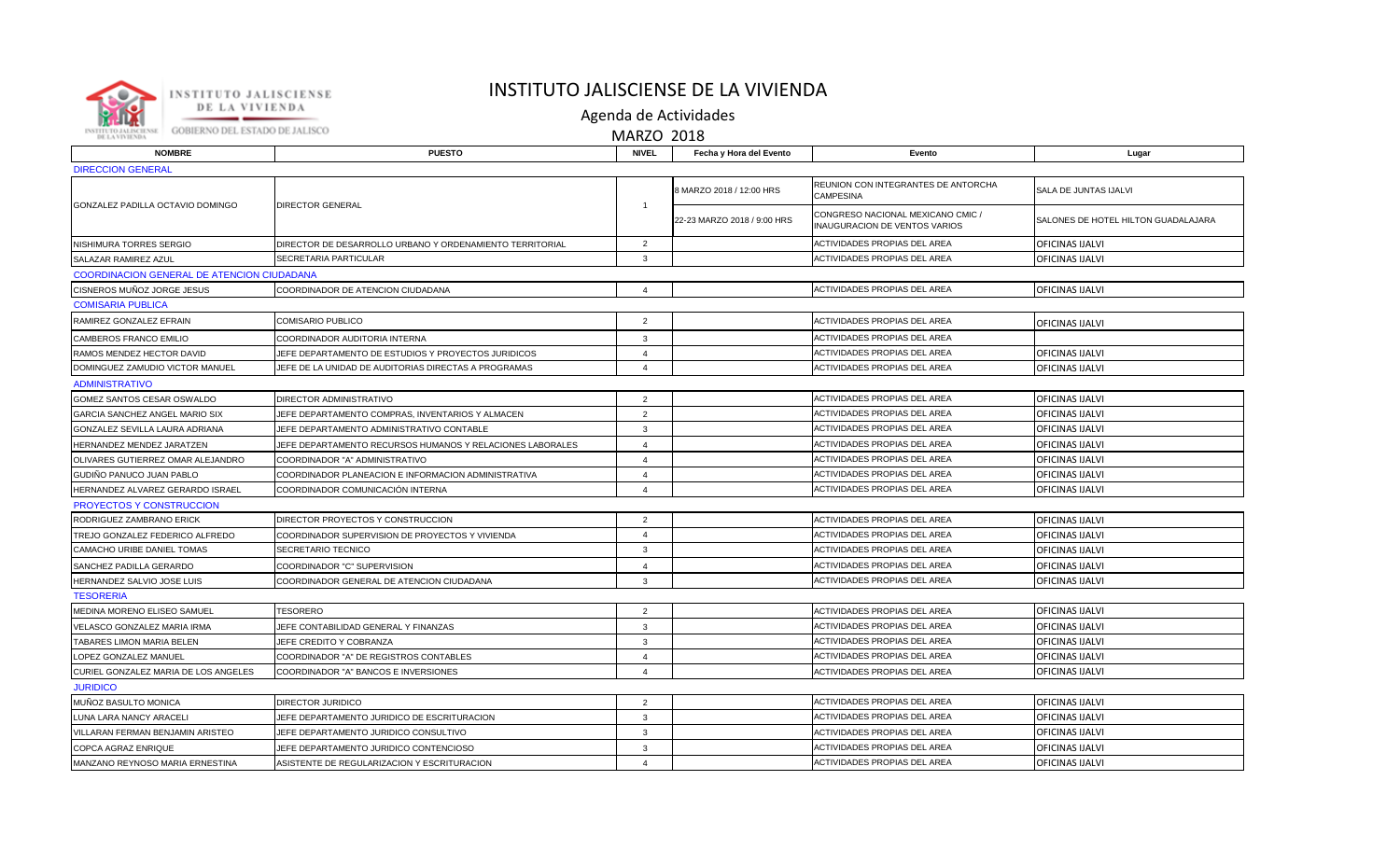

## INSTITUTO JALISCIENSE DE LA VIVIENDA

Agenda de Actividades

MARZO 2018

| <b>NOMBRE</b>                              | <b>PUESTO</b>                                             | <b>NIVEL</b>            | Fecha y Hora del Evento             | Evento                                                             | Lugar                               |  |  |  |  |
|--------------------------------------------|-----------------------------------------------------------|-------------------------|-------------------------------------|--------------------------------------------------------------------|-------------------------------------|--|--|--|--|
| <b>DIRECCION GENERAL</b>                   |                                                           |                         |                                     |                                                                    |                                     |  |  |  |  |
| GONZALEZ PADILLA OCTAVIO DOMINGO           | <b>DIRECTOR GENERAL</b>                                   |                         | 3 MARZO 2018 / 12:00 HRS            | REUNION CON INTEGRANTES DE ANTORCHA<br>CAMPESINA                   | SALA DE JUNTAS IJALVI               |  |  |  |  |
|                                            |                                                           | $\overline{1}$          | 22-23 MARZO 2018 / 9:00 HRS         | CONGRESO NACIONAL MEXICANO CMIC /<br>INAUGURACION DE VENTOS VARIOS | SALONES DE HOTEL HILTON GUADALAJARA |  |  |  |  |
| NISHIMURA TORRES SERGIO                    | DIRECTOR DE DESARROLLO URBANO Y ORDENAMIENTO TERRITORIAL  | $\overline{2}$          |                                     | ACTIVIDADES PROPIAS DEL AREA                                       | <b>OFICINAS IJALVI</b>              |  |  |  |  |
| SALAZAR RAMIREZ AZUL                       | <b>SECRETARIA PARTICULAR</b>                              | 3                       |                                     | ACTIVIDADES PROPIAS DEL AREA                                       | <b>OFICINAS IJALVI</b>              |  |  |  |  |
| COORDINACION GENERAL DE ATENCION CIUDADANA |                                                           |                         |                                     |                                                                    |                                     |  |  |  |  |
| CISNEROS MUÑOZ JORGE JESUS                 | COORDINADOR DE ATENCION CIUDADANA                         | $\overline{4}$          |                                     | ACTIVIDADES PROPIAS DEL AREA                                       | <b>OFICINAS IJALVI</b>              |  |  |  |  |
| <b>COMISARIA PUBLICA</b>                   |                                                           |                         |                                     |                                                                    |                                     |  |  |  |  |
| RAMIREZ GONZALEZ EFRAIN                    | COMISARIO PUBLICO                                         | $\overline{2}$          |                                     | ACTIVIDADES PROPIAS DEL AREA                                       | <b>OFICINAS IJALVI</b>              |  |  |  |  |
| CAMBEROS FRANCO EMILIO                     | COORDINADOR AUDITORIA INTERNA                             | 3                       |                                     | ACTIVIDADES PROPIAS DEL AREA                                       |                                     |  |  |  |  |
| RAMOS MENDEZ HECTOR DAVID                  | JEFE DEPARTAMENTO DE ESTUDIOS Y PROYECTOS JURIDICOS       |                         | ACTIVIDADES PROPIAS DEL AREA        |                                                                    | <b>OFICINAS IJALVI</b>              |  |  |  |  |
| DOMINGUEZ ZAMUDIO VICTOR MANUEL            | JEFE DE LA UNIDAD DE AUDITORIAS DIRECTAS A PROGRAMAS      | $\overline{4}$          | ACTIVIDADES PROPIAS DEL AREA        |                                                                    | <b>OFICINAS IJALVI</b>              |  |  |  |  |
| <b>ADMINISTRATIVO</b>                      |                                                           |                         |                                     |                                                                    |                                     |  |  |  |  |
| GOMEZ SANTOS CESAR OSWALDO                 | DIRECTOR ADMINISTRATIVO                                   | $\overline{2}$          |                                     | ACTIVIDADES PROPIAS DEL AREA                                       | <b>OFICINAS IJALVI</b>              |  |  |  |  |
| GARCIA SANCHEZ ANGEL MARIO SIX             | JEFE DEPARTAMENTO COMPRAS, INVENTARIOS Y ALMACEN          | 2                       |                                     | ACTIVIDADES PROPIAS DEL AREA                                       | <b>OFICINAS IJALVI</b>              |  |  |  |  |
| GONZALEZ SEVILLA LAURA ADRIANA             | JEFE DEPARTAMENTO ADMINISTRATIVO CONTABLE                 | 3                       |                                     | ACTIVIDADES PROPIAS DEL AREA                                       | <b>OFICINAS IJALVI</b>              |  |  |  |  |
| HERNANDEZ MENDEZ JARATZEN                  | JEFE DEPARTAMENTO RECURSOS HUMANOS Y RELACIONES LABORALES | $\overline{4}$          | ACTIVIDADES PROPIAS DEL AREA        |                                                                    | <b>OFICINAS IJALVI</b>              |  |  |  |  |
| OLIVARES GUTIERREZ OMAR ALEJANDRO          | COORDINADOR "A" ADMINISTRATIVO                            | $\overline{4}$          |                                     | ACTIVIDADES PROPIAS DEL AREA                                       | <b>OFICINAS IJALVI</b>              |  |  |  |  |
| GUDIÑO PANUCO JUAN PABLO                   | COORDINADOR PLANEACION E INFORMACION ADMINISTRATIVA       | $\overline{4}$          |                                     | <b>ACTIVIDADES PROPIAS DEL AREA</b>                                | <b>OFICINAS IJALVI</b>              |  |  |  |  |
| HERNANDEZ ALVAREZ GERARDO ISRAEL           | COORDINADOR COMUNICACIÓN INTERNA                          | $\overline{4}$          |                                     | <b>ACTIVIDADES PROPIAS DEL AREA</b>                                | <b>OFICINAS IJALVI</b>              |  |  |  |  |
| PROYECTOS Y CONSTRUCCION                   |                                                           |                         |                                     |                                                                    |                                     |  |  |  |  |
| RODRIGUEZ ZAMBRANO ERICK                   | DIRECTOR PROYECTOS Y CONSTRUCCION                         | 2                       |                                     | ACTIVIDADES PROPIAS DEL AREA                                       | <b>OFICINAS IJALVI</b>              |  |  |  |  |
| TREJO GONZALEZ FEDERICO ALFREDO            | COORDINADOR SUPERVISION DE PROYECTOS Y VIVIENDA           | $\overline{\mathbf{4}}$ |                                     | ACTIVIDADES PROPIAS DEL AREA                                       | <b>OFICINAS IJALVI</b>              |  |  |  |  |
| CAMACHO URIBE DANIEL TOMAS                 | <b>SECRETARIO TECNICO</b>                                 | 3                       | <b>ACTIVIDADES PROPIAS DEL AREA</b> |                                                                    | <b>OFICINAS IJALVI</b>              |  |  |  |  |
| SANCHEZ PADILLA GERARDO                    | COORDINADOR "C" SUPERVISION                               | $\overline{4}$          | <b>ACTIVIDADES PROPIAS DEL AREA</b> |                                                                    | <b>OFICINAS IJALVI</b>              |  |  |  |  |
| HERNANDEZ SALVIO JOSE LUIS                 | COORDINADOR GENERAL DE ATENCION CIUDADANA                 | 3                       |                                     | ACTIVIDADES PROPIAS DEL AREA                                       | <b>OFICINAS IJALVI</b>              |  |  |  |  |
| <b>TESORERIA</b>                           |                                                           |                         |                                     |                                                                    |                                     |  |  |  |  |
| MEDINA MORENO ELISEO SAMUEL                | <b>TESORERO</b>                                           | $\overline{2}$          |                                     | ACTIVIDADES PROPIAS DEL AREA                                       | <b>OFICINAS IJALVI</b>              |  |  |  |  |
| VELASCO GONZALEZ MARIA IRMA                | JEFE CONTABILIDAD GENERAL Y FINANZAS                      | 3                       |                                     | <b>ACTIVIDADES PROPIAS DEL AREA</b>                                | <b>OFICINAS IJALVI</b>              |  |  |  |  |
| TABARES LIMON MARIA BELEN                  | JEFE CREDITO Y COBRANZA                                   | 3                       |                                     | <b>ACTIVIDADES PROPIAS DEL AREA</b>                                | <b>OFICINAS IJALVI</b>              |  |  |  |  |
| LOPEZ GONZALEZ MANUEL                      | COORDINADOR "A" DE REGISTROS CONTABLES                    | $\overline{4}$          |                                     | <b>ACTIVIDADES PROPIAS DEL AREA</b>                                | <b>OFICINAS IJALVI</b>              |  |  |  |  |
| CURIEL GONZALEZ MARIA DE LOS ANGELES       | COORDINADOR "A" BANCOS E INVERSIONES                      | $\overline{\mathbf{4}}$ |                                     | ACTIVIDADES PROPIAS DEL AREA                                       | <b>OFICINAS IJALVI</b>              |  |  |  |  |
| <b>JURIDICO</b>                            |                                                           |                         |                                     |                                                                    |                                     |  |  |  |  |
| MUÑOZ BASULTO MONICA                       | <b>DIRECTOR JURIDICO</b>                                  | 2                       |                                     | ACTIVIDADES PROPIAS DEL AREA                                       | <b>OFICINAS IJALVI</b>              |  |  |  |  |
| LUNA LARA NANCY ARACELI                    | JEFE DEPARTAMENTO JURIDICO DE ESCRITURACION               | 3                       |                                     | ACTIVIDADES PROPIAS DEL AREA                                       | <b>OFICINAS IJALVI</b>              |  |  |  |  |
| VILLARAN FERMAN BENJAMIN ARISTEO           | JEFE DEPARTAMENTO JURIDICO CONSULTIVO                     | 3                       |                                     | ACTIVIDADES PROPIAS DEL AREA                                       | <b>OFICINAS IJALVI</b>              |  |  |  |  |
| COPCA AGRAZ ENRIQUE                        | JEFE DEPARTAMENTO JURIDICO CONTENCIOSO                    | 3                       |                                     | ACTIVIDADES PROPIAS DEL AREA                                       | <b>OFICINAS IJALVI</b>              |  |  |  |  |
| MANZANO REYNOSO MARIA ERNESTINA            | ASISTENTE DE REGULARIZACION Y ESCRITURACION               | $\overline{\mathbf{4}}$ |                                     | ACTIVIDADES PROPIAS DEL AREA                                       | <b>OFICINAS IJALVI</b>              |  |  |  |  |